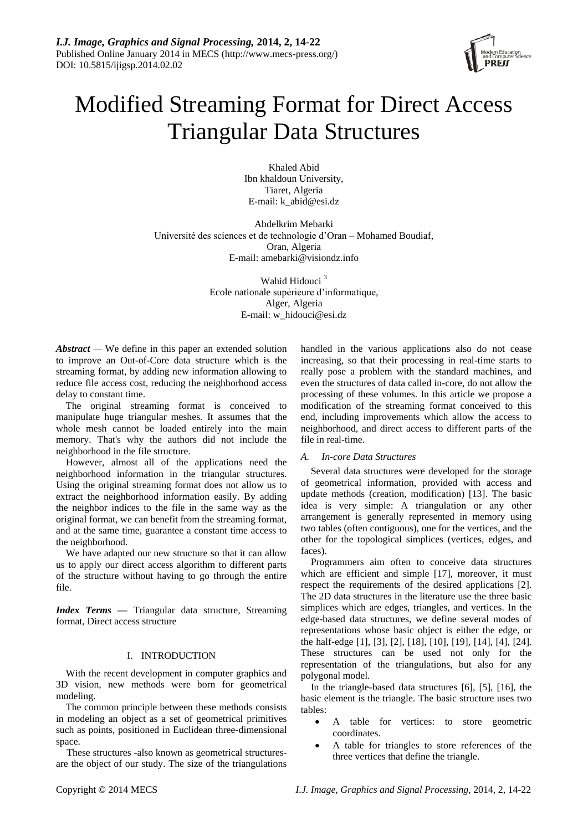

# Modified Streaming Format for Direct Access Triangular Data Structures

Khaled Abid Ibn khaldoun University, Tiaret, Algeria E-mail: k\_abid@esi.dz

Abdelkrim Mebarki Université des sciences et de technologie d'Oran – Mohamed Boudiaf, Oran, Algeria E-mail: [amebarki@visiondz.inf](mailto:dsli@bjut.edu.cn)o

> Wahid Hidouci<sup>3</sup> Ecole nationale supérieure d'informatique, Alger, Algeria E-mail: w\_hidouci@esi.dz

*Abstract* — We define in this paper an extended solution to improve an Out-of-Core data structure which is the streaming format, by adding new information allowing to reduce file access cost, reducing the neighborhood access delay to constant time.

The original streaming format is conceived to manipulate huge triangular meshes. It assumes that the whole mesh cannot be loaded entirely into the main memory. That's why the authors did not include the neighborhood in the file structure.

However, almost all of the applications need the neighborhood information in the triangular structures. Using the original streaming format does not allow us to extract the neighborhood information easily. By adding the neighbor indices to the file in the same way as the original format, we can benefit from the streaming format, and at the same time, guarantee a constant time access to the neighborhood.

We have adapted our new structure so that it can allow us to apply our direct access algorithm to different parts of the structure without having to go through the entire file.

*Index Terms —* Triangular data structure, Streaming format, Direct access structure

# I. INTRODUCTION

With the recent development in computer graphics and 3D vision, new methods were born for geometrical modeling.

The common principle between these methods consists in modeling an object as a set of geometrical primitives such as points, positioned in Euclidean three-dimensional space.

These structures -also known as geometrical structuresare the object of our study. The size of the triangulations handled in the various applications also do not cease increasing, so that their processing in real-time starts to really pose a problem with the standard machines, and even the structures of data called in-core, do not allow the processing of these volumes. In this article we propose a modification of the streaming format conceived to this end, including improvements which allow the access to neighborhood, and direct access to different parts of the file in real-time.

# *A. In-core Data Structures*

Several data structures were developed for the storage of geometrical information, provided with access and update methods (creation, modification) [13]. The basic idea is very simple: A triangulation or any other arrangement is generally represented in memory using two tables (often contiguous), one for the vertices, and the other for the topological simplices (vertices, edges, and faces).

Programmers aim often to conceive data structures which are efficient and simple [17], moreover, it must respect the requirements of the desired applications [2]. The 2D data structures in the literature use the three basic simplices which are edges, triangles, and vertices. In the edge-based data structures, we define several modes of representations whose basic object is either the edge, or the half-edge [1], [3], [2], [18], [10], [19], [14], [4], [24]. These structures can be used not only for the representation of the triangulations, but also for any polygonal model.

In the triangle-based data structures [6], [5], [16], the basic element is the triangle. The basic structure uses two tables:

- A table for vertices: to store geometric coordinates.
- A table for triangles to store references of the three vertices that define the triangle.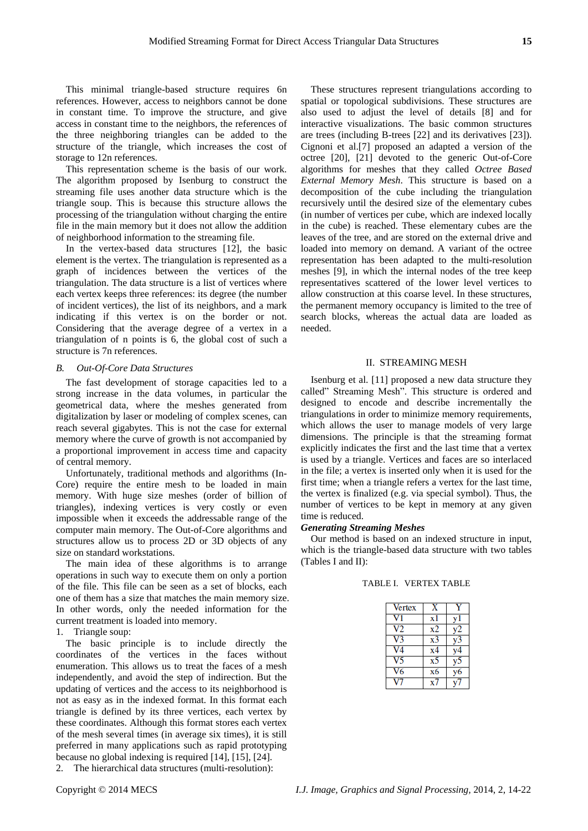This minimal triangle-based structure requires 6n references. However, access to neighbors cannot be done in constant time. To improve the structure, and give access in constant time to the neighbors, the references of the three neighboring triangles can be added to the structure of the triangle, which increases the cost of storage to 12n references.

This representation scheme is the basis of our work. The algorithm proposed by Isenburg to construct the streaming file uses another data structure which is the triangle soup. This is because this structure allows the processing of the triangulation without charging the entire file in the main memory but it does not allow the addition of neighborhood information to the streaming file.

In the vertex-based data structures [12], the basic element is the vertex. The triangulation is represented as a graph of incidences between the vertices of the triangulation. The data structure is a list of vertices where each vertex keeps three references: its degree (the number of incident vertices), the list of its neighbors, and a mark indicating if this vertex is on the border or not. Considering that the average degree of a vertex in a triangulation of n points is 6, the global cost of such a structure is 7n references.

#### *B. Out-Of-Core Data Structures*

The fast development of storage capacities led to a strong increase in the data volumes, in particular the geometrical data, where the meshes generated from digitalization by laser or modeling of complex scenes, can reach several gigabytes. This is not the case for external memory where the curve of growth is not accompanied by a proportional improvement in access time and capacity of central memory.

Unfortunately, traditional methods and algorithms (In-Core) require the entire mesh to be loaded in main memory. With huge size meshes (order of billion of triangles), indexing vertices is very costly or even impossible when it exceeds the addressable range of the computer main memory. The Out-of-Core algorithms and structures allow us to process 2D or 3D objects of any size on standard workstations.

The main idea of these algorithms is to arrange operations in such way to execute them on only a portion of the file. This file can be seen as a set of blocks, each one of them has a size that matches the main memory size. In other words, only the needed information for the current treatment is loaded into memory.

1. Triangle soup:

The basic principle is to include directly the coordinates of the vertices in the faces without enumeration. This allows us to treat the faces of a mesh independently, and avoid the step of indirection. But the updating of vertices and the access to its neighborhood is not as easy as in the indexed format. In this format each triangle is defined by its three vertices, each vertex by these coordinates. Although this format stores each vertex of the mesh several times (in average six times), it is still preferred in many applications such as rapid prototyping because no global indexing is required [14], [15], [24].

2. The hierarchical data structures (multi-resolution):

These structures represent triangulations according to spatial or topological subdivisions. These structures are also used to adjust the level of details [8] and for interactive visualizations. The basic common structures are trees (including B-trees [22] and its derivatives [23]). Cignoni et al.[7] proposed an adapted a version of the octree [20], [21] devoted to the generic Out-of-Core algorithms for meshes that they called *Octree Based External Memory Mesh*. This structure is based on a decomposition of the cube including the triangulation recursively until the desired size of the elementary cubes (in number of vertices per cube, which are indexed locally in the cube) is reached. These elementary cubes are the leaves of the tree, and are stored on the external drive and loaded into memory on demand. A variant of the octree representation has been adapted to the multi-resolution meshes [9], in which the internal nodes of the tree keep representatives scattered of the lower level vertices to allow construction at this coarse level. In these structures, the permanent memory occupancy is limited to the tree of search blocks, whereas the actual data are loaded as needed.

#### II. STREAMING MESH

Isenburg et al. [11] proposed a new data structure they called" Streaming Mesh". This structure is ordered and designed to encode and describe incrementally the triangulations in order to minimize memory requirements, which allows the user to manage models of very large dimensions. The principle is that the streaming format explicitly indicates the first and the last time that a vertex is used by a triangle. Vertices and faces are so interlaced in the file; a vertex is inserted only when it is used for the first time; when a triangle refers a vertex for the last time, the vertex is finalized (e.g. via special symbol). Thus, the number of vertices to be kept in memory at any given time is reduced.

#### *Generating Streaming Meshes*

Our method is based on an indexed structure in input, which is the triangle-based data structure with two tables (Tables I and II):

| Vertex |    |  |
|--------|----|--|
|        | x. |  |
| 2      | х2 |  |
| 73     | xЗ |  |
| 74     | x4 |  |
|        | X. |  |
| 6      | х6 |  |
|        |    |  |

## TABLE I. VERTEX TABLE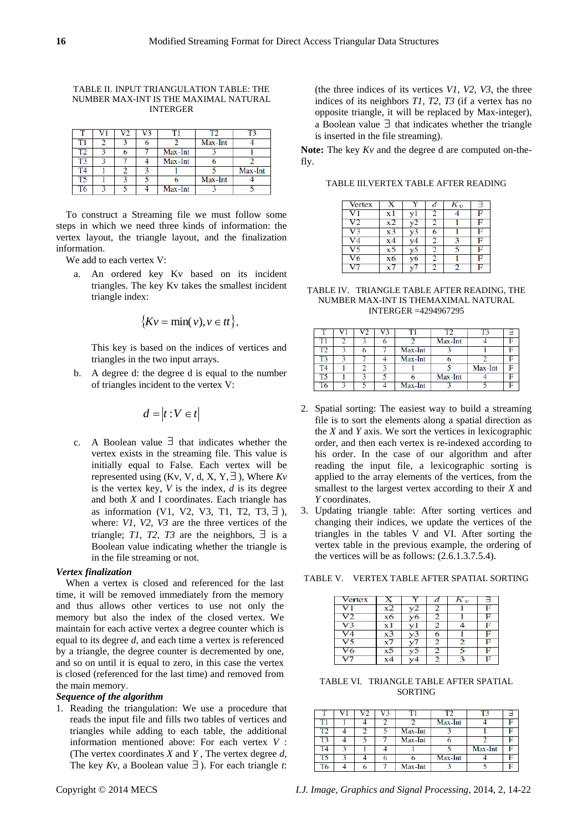#### TABLE II. INPUT TRIANGULATION TABLE: THE NUMBER MAX-INT IS THE MAXIMAL NATURAL INTERGER

| Г1        |  |         | Max-Int |         |
|-----------|--|---------|---------|---------|
| гэ        |  | Max-Int |         |         |
| T3        |  | Max-Int |         |         |
| <b>T4</b> |  |         |         | Max-Int |
| T5        |  |         | Max-Int |         |
| T6        |  | Max-Int |         |         |

To construct a Streaming file we must follow some steps in which we need three kinds of information: the vertex layout, the triangle layout, and the finalization information.

We add to each vertex V:

a. An ordered key Kv based on its incident triangles. The key Kv takes the smallest incident triangle index:

$$
\{Kv = \min(v), v \in tt\},\
$$

This key is based on the indices of vertices and triangles in the two input arrays.

b. A degree d: the degree d is equal to the number of triangles incident to the vertex V:

$$
d = |t : V \in t|
$$

c. A Boolean value  $\exists$  that indicates whether the vertex exists in the streaming file. This value is initially equal to False. Each vertex will be represented using (Kv, V, d, X, Y,  $\exists$ ), Where  $Kv$ is the vertex key, *V* is the index, *d* is its degree and both *X* and I coordinates. Each triangle has as information (V1, V2, V3, T1, T2, T3,  $\exists$ ), where: *V1*, *V2*, *V3* are the three vertices of the triangle; *T1*, *T2*, *T3* are the neighbors,  $\exists$  is a Boolean value indicating whether the triangle is in the file streaming or not.

## *Vertex finalization*

When a vertex is closed and referenced for the last time, it will be removed immediately from the memory and thus allows other vertices to use not only the memory but also the index of the closed vertex. We maintain for each active vertex a degree counter which is equal to its degree *d,* and each time a vertex is referenced by a triangle, the degree counter is decremented by one, and so on until it is equal to zero, in this case the vertex is closed (referenced for the last time) and removed from the main memory.

# *Sequence of the algorithm*

1. Reading the triangulation: We use a procedure that reads the input file and fills two tables of vertices and triangles while adding to each table, the additional information mentioned above: For each vertex *V* : (The vertex coordinates *X* and *Y* , The vertex degree *d*, The key  $Kv$ , a Boolean value  $\exists$ ). For each triangle *t*:

(the three indices of its vertices *V1*, *V2*, *V3*, the three indices of its neighbors *T1*, *T2*, *T3* (if a vertex has no opposite triangle, it will be replaced by Max-integer), a Boolean value  $\exists$  that indicates whether the triangle is inserted in the file streaming).

**Note:** The key *Kv* and the degree d are computed on-thefly.

TABLE III.VERTEX TABLE AFTER READING

| <b>Vertex</b>   |     | v   | d | $K_{\boldsymbol{v}}$ | Ε |
|-----------------|-----|-----|---|----------------------|---|
| $_{\rm V1}$     | x 1 |     | 2 |                      | F |
| $\overline{V2}$ | х2  | v2  |   |                      | F |
| V <sub>3</sub>  | x3  | v3  | 6 |                      | F |
| V <sub>4</sub>  | х4  |     | 2 |                      | F |
| V <sub>5</sub>  | х5  | VЭ  | 2 |                      | F |
| V <sub>6</sub>  | х6  | vб  | 2 |                      | F |
|                 | x7  | v / | 2 |                      | F |

TABLE IV. TRIANGLE TABLE AFTER READING, THE NUMBER MAX-INT IS THEMAXIMAL NATURAL INTERGER =4294967295

|    |  |         |         | т٦      |  |
|----|--|---------|---------|---------|--|
| T1 |  |         | Max-Int |         |  |
| гэ |  | Max-Int |         |         |  |
| Г3 |  | Max-Int |         |         |  |
| T4 |  |         |         | Max-Int |  |
| T5 |  |         | Max-Int |         |  |
| T6 |  | Max-Int |         |         |  |

- 2. Spatial sorting: The easiest way to build a streaming file is to sort the elements along a spatial direction as the *X* and *Y* axis. We sort the vertices in lexicographic order, and then each vertex is re-indexed according to his order. In the case of our algorithm and after reading the input file, a lexicographic sorting is applied to the array elements of the vertices, from the smallest to the largest vertex according to their *X* and *Y* coordinates.
- 3. Updating triangle table: After sorting vertices and changing their indices, we update the vertices of the triangles in the tables V and VI. After sorting the vertex table in the previous example, the ordering of the vertices will be as follows: (2.6.1.3.7.5.4).

TABLE V. VERTEX TABLE AFTER SPATIAL SORTING

| <b>Vertex</b> | x  |    | d | $K_{\boldsymbol{v}}$ | Ⅎ |
|---------------|----|----|---|----------------------|---|
| v             | x2 |    | 2 |                      | F |
| V2            | х6 | v6 | 2 |                      | F |
| V3            | хl |    | 2 |                      | F |
| $V_4$         | x3 | ۰  | 6 |                      | с |
| vs            | x7 |    | 2 |                      | F |
| V6            | x۵ | J  | 2 |                      | E |
|               |    |    | 2 |                      | E |

TABLE VI. TRIANGLE TABLE AFTER SPATIAL SORTING

|  |  | T١      | ™       | T٦      |  |
|--|--|---------|---------|---------|--|
|  |  |         | Max-Int |         |  |
|  |  | Max-Int |         |         |  |
|  |  | Max-Int |         |         |  |
|  |  |         |         | Max-Int |  |
|  |  |         | Max-Int |         |  |
|  |  | Max-Int |         |         |  |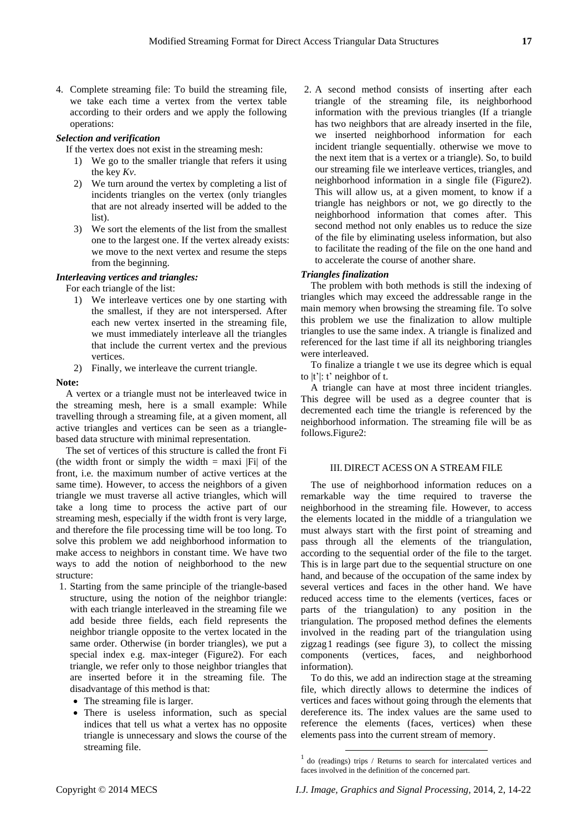4. Complete streaming file: To build the streaming file, we take each time a vertex from the vertex table according to their orders and we apply the following operations:

## *Selection and verification*

If the vertex does not exist in the streaming mesh:

- 1) We go to the smaller triangle that refers it using the key *Kv*.
- 2) We turn around the vertex by completing a list of incidents triangles on the vertex (only triangles that are not already inserted will be added to the list).
- 3) We sort the elements of the list from the smallest one to the largest one. If the vertex already exists: we move to the next vertex and resume the steps from the beginning.

#### *Interleaving vertices and triangles:*

For each triangle of the list:

- 1) We interleave vertices one by one starting with the smallest, if they are not interspersed. After each new vertex inserted in the streaming file, we must immediately interleave all the triangles that include the current vertex and the previous vertices.
- 2) Finally, we interleave the current triangle.

#### **Note:**

A vertex or a triangle must not be interleaved twice in the streaming mesh, here is a small example: While travelling through a streaming file, at a given moment, all active triangles and vertices can be seen as a trianglebased data structure with minimal representation.

The set of vertices of this structure is called the front Fi (the width front or simply the width  $=$  maxi |Fi| of the front, i.e. the maximum number of active vertices at the same time). However, to access the neighbors of a given triangle we must traverse all active triangles, which will take a long time to process the active part of our streaming mesh, especially if the width front is very large, and therefore the file processing time will be too long. To solve this problem we add neighborhood information to make access to neighbors in constant time. We have two ways to add the notion of neighborhood to the new structure:

- 1. Starting from the same principle of the triangle-based structure, using the notion of the neighbor triangle: with each triangle interleaved in the streaming file we add beside three fields, each field represents the neighbor triangle opposite to the vertex located in the same order. Otherwise (in border triangles), we put a special index e.g. max-integer (Figure2). For each triangle, we refer only to those neighbor triangles that are inserted before it in the streaming file. The disadvantage of this method is that:
	- The streaming file is larger.
	- There is useless information, such as special indices that tell us what a vertex has no opposite triangle is unnecessary and slows the course of the streaming file.

2. A second method consists of inserting after each triangle of the streaming file, its neighborhood information with the previous triangles (If a triangle has two neighbors that are already inserted in the file, we inserted neighborhood information for each incident triangle sequentially. otherwise we move to the next item that is a vertex or a triangle). So, to build our streaming file we interleave vertices, triangles, and neighborhood information in a single file (Figure2). This will allow us, at a given moment, to know if a triangle has neighbors or not, we go directly to the neighborhood information that comes after. This second method not only enables us to reduce the size of the file by eliminating useless information, but also to facilitate the reading of the file on the one hand and to accelerate the course of another share.

## *Triangles finalization*

The problem with both methods is still the indexing of triangles which may exceed the addressable range in the main memory when browsing the streaming file. To solve this problem we use the finalization to allow multiple triangles to use the same index. A triangle is finalized and referenced for the last time if all its neighboring triangles were interleaved.

To finalize a triangle t we use its degree which is equal to  $|t'|$ :  $t'$  neighbor of t.

A triangle can have at most three incident triangles. This degree will be used as a degree counter that is decremented each time the triangle is referenced by the neighborhood information. The streaming file will be as follows.Figure2:

#### III. DIRECT ACESS ON A STREAM FILE

The use of neighborhood information reduces on a remarkable way the time required to traverse the neighborhood in the streaming file. However, to access the elements located in the middle of a triangulation we must always start with the first point of streaming and pass through all the elements of the triangulation, according to the sequential order of the file to the target. This is in large part due to the sequential structure on one hand, and because of the occupation of the same index by several vertices and faces in the other hand. We have reduced access time to the elements (vertices, faces or parts of the triangulation) to any position in the triangulation. The proposed method defines the elements involved in the reading part of the triangulation using zigzag1 readings (see figure 3), to collect the missing components (vertices, faces, and neighborhood information).

To do this, we add an indirection stage at the streaming file, which directly allows to determine the indices of vertices and faces without going through the elements that dereference its. The index values are the same used to reference the elements (faces, vertices) when these elements pass into the current stream of memory.

1

<sup>1</sup> do (readings) trips / Returns to search for intercalated vertices and faces involved in the definition of the concerned part.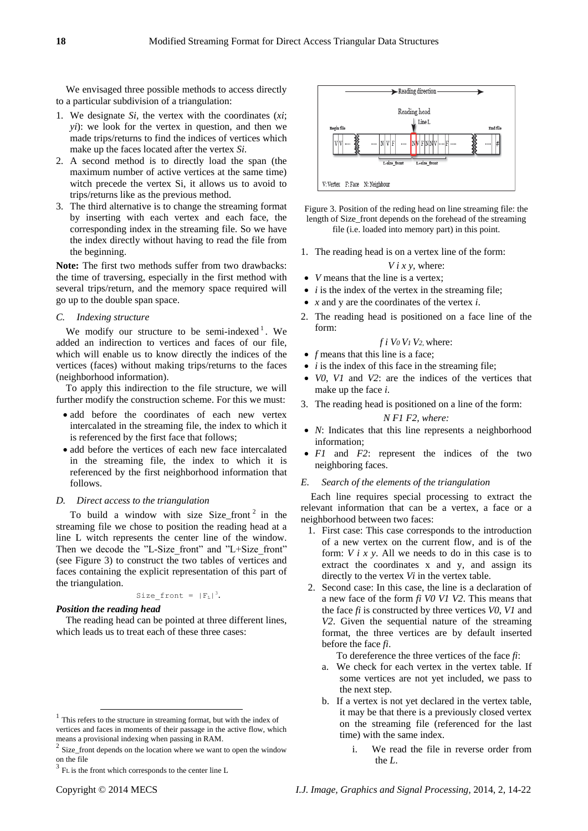We envisaged three possible methods to access directly to a particular subdivision of a triangulation:

- 1. We designate *Si*, the vertex with the coordinates (*xi*; *yi*): we look for the vertex in question, and then we made trips/returns to find the indices of vertices which make up the faces located after the vertex *Si*.
- 2. A second method is to directly load the span (the maximum number of active vertices at the same time) witch precede the vertex Si, it allows us to avoid to trips/returns like as the previous method.
- 3. The third alternative is to change the streaming format by inserting with each vertex and each face, the corresponding index in the streaming file. So we have the index directly without having to read the file from the beginning.

**Note:** The first two methods suffer from two drawbacks: the time of traversing, especially in the first method with several trips/return, and the memory space required will go up to the double span space.

#### *C. Indexing structure*

We modify our structure to be semi-indexed<sup>1</sup>. We added an indirection to vertices and faces of our file, which will enable us to know directly the indices of the vertices (faces) without making trips/returns to the faces (neighborhood information).

To apply this indirection to the file structure, we will further modify the construction scheme. For this we must:

- add before the coordinates of each new vertex intercalated in the streaming file, the index to which it is referenced by the first face that follows;
- add before the vertices of each new face intercalated in the streaming file, the index to which it is referenced by the first neighborhood information that follows.

#### *D. Direct access to the triangulation*

To build a window with size Size\_front<sup>2</sup> in the streaming file we chose to position the reading head at a line L witch represents the center line of the window. Then we decode the "L-Size front" and "L+Size front" (see Figure 3) to construct the two tables of vertices and faces containing the explicit representation of this part of the triangulation.

## Size front =  $|F_L|^3$ .

# *Position the reading head*

The reading head can be pointed at three different lines, which leads us to treat each of these three cases:



Figure 3. Position of the reding head on line streaming file: the length of Size\_front depends on the forehead of the streaming file (i.e. loaded into memory part) in this point.

1. The reading head is on a vertex line of the form:

# *V i x y,* where:

- *V* means that the line is a vertex;
- *i* is the index of the vertex in the streaming file:
- *x* and y are the coordinates of the vertex *i*.
- 2. The reading head is positioned on a face line of the form:

## *f i V0 V1 V2,* where:

- *f* means that this line is a face;
- *i* is the index of this face in the streaming file:
- *V0*, *V1* and *V2*: are the indices of the vertices that make up the face *i*.
- 3. The reading head is positioned on a line of the form:

# *N F1 F2, where:*

- *N*: Indicates that this line represents a neighborhood information;
- *F1* and *F2*: represent the indices of the two neighboring faces.
- *E. Search of the elements of the triangulation*

Each line requires special processing to extract the relevant information that can be a vertex, a face or a neighborhood between two faces:

- 1. First case: This case corresponds to the introduction of a new vertex on the current flow, and is of the form: *V i x y*. All we needs to do in this case is to extract the coordinates x and y, and assign its directly to the vertex *Vi* in the vertex table.
- 2. Second case: In this case, the line is a declaration of a new face of the form *fi V0 V1 V2*. This means that the face *fi* is constructed by three vertices *V0*, *V1* and *V2*. Given the sequential nature of the streaming format, the three vertices are by default inserted before the face *fi*.

To dereference the three vertices of the face *fi*:

- a. We check for each vertex in the vertex table. If some vertices are not yet included, we pass to the next step.
- b. If a vertex is not yet declared in the vertex table, it may be that there is a previously closed vertex on the streaming file (referenced for the last time) with the same index.
	- i. We read the file in reverse order from the *L*.

-

<sup>&</sup>lt;sup>1</sup> This refers to the structure in streaming format, but with the index of vertices and faces in moments of their passage in the active flow, which means a provisional indexing when passing in RAM.

Size\_front depends on the location where we want to open the window on the file

<sup>3</sup> FL is the front which corresponds to the center line L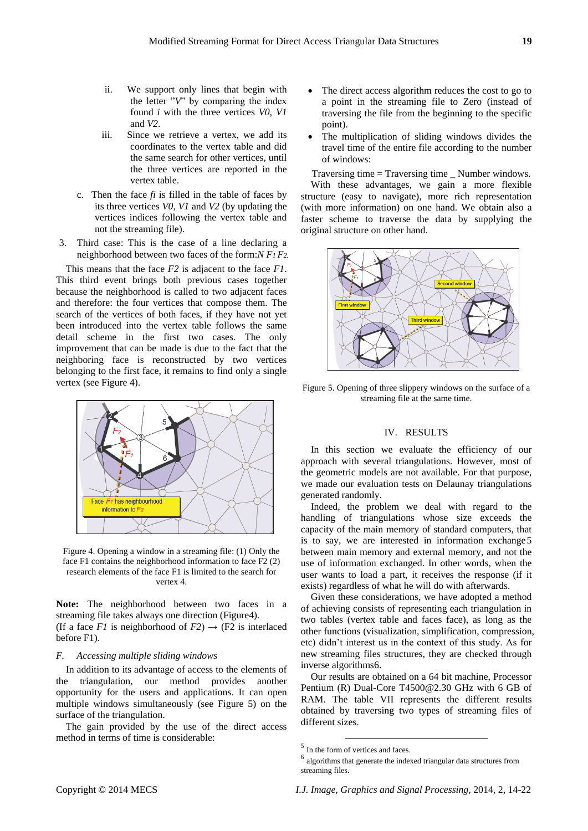- ii. We support only lines that begin with the letter  $\sqrt[n]{v}$  by comparing the index found *i* with the three vertices *V0*, *V1* and *V2*.
- iii. Since we retrieve a vertex, we add its coordinates to the vertex table and did the same search for other vertices, until the three vertices are reported in the vertex table.
- c. Then the face  $fi$  is filled in the table of faces by its three vertices *V0*, *V1* and *V2* (by updating the vertices indices following the vertex table and not the streaming file).
- 3. Third case: This is the case of a line declaring a neighborhood between two faces of the form:*N F1 F2.*

This means that the face *F2* is adjacent to the face *F1*. This third event brings both previous cases together because the neighborhood is called to two adjacent faces and therefore: the four vertices that compose them. The search of the vertices of both faces, if they have not yet been introduced into the vertex table follows the same detail scheme in the first two cases. The only improvement that can be made is due to the fact that the neighboring face is reconstructed by two vertices belonging to the first face, it remains to find only a single vertex (see Figure 4).



Figure 4. Opening a window in a streaming file: (1) Only the face F1 contains the neighborhood information to face F2 (2) research elements of the face F1 is limited to the search for vertex 4.

**Note:** The neighborhood between two faces in a streaming file takes always one direction (Figure4). (If a face *F1* is neighborhood of  $F2$ )  $\rightarrow$  (F2 is interlaced before F1).

#### *F. Accessing multiple sliding windows*

In addition to its advantage of access to the elements of the triangulation, our method provides another opportunity for the users and applications. It can open multiple windows simultaneously (see Figure 5) on the surface of the triangulation.

The gain provided by the use of the direct access method in terms of time is considerable:

- The direct access algorithm reduces the cost to go to a point in the streaming file to Zero (instead of traversing the file from the beginning to the specific point).
- The multiplication of sliding windows divides the travel time of the entire file according to the number of windows:

Traversing time = Traversing time \_ Number windows. With these advantages, we gain a more flexible structure (easy to navigate), more rich representation (with more information) on one hand. We obtain also a faster scheme to traverse the data by supplying the original structure on other hand.



Figure 5. Opening of three slippery windows on the surface of a streaming file at the same time.

## IV. RESULTS

In this section we evaluate the efficiency of our approach with several triangulations. However, most of the geometric models are not available. For that purpose, we made our evaluation tests on Delaunay triangulations generated randomly.

Indeed, the problem we deal with regard to the handling of triangulations whose size exceeds the capacity of the main memory of standard computers, that is to say, we are interested in information exchange5 between main memory and external memory, and not the use of information exchanged. In other words, when the user wants to load a part, it receives the response (if it exists) regardless of what he will do with afterwards.

Given these considerations, we have adopted a method of achieving consists of representing each triangulation in two tables (vertex table and faces face), as long as the other functions (visualization, simplification, compression, etc) didn't interest us in the context of this study. As for new streaming files structures, they are checked through inverse algorithms6.

Our results are obtained on a 64 bit machine, Processor Pentium (R) Dual-Core T4500@2.30 GHz with 6 GB of RAM. The table VII represents the different results obtained by traversing two types of streaming files of different sizes.

-

<sup>5</sup> In the form of vertices and faces.

<sup>6</sup> algorithms that generate the indexed triangular data structures from streaming files.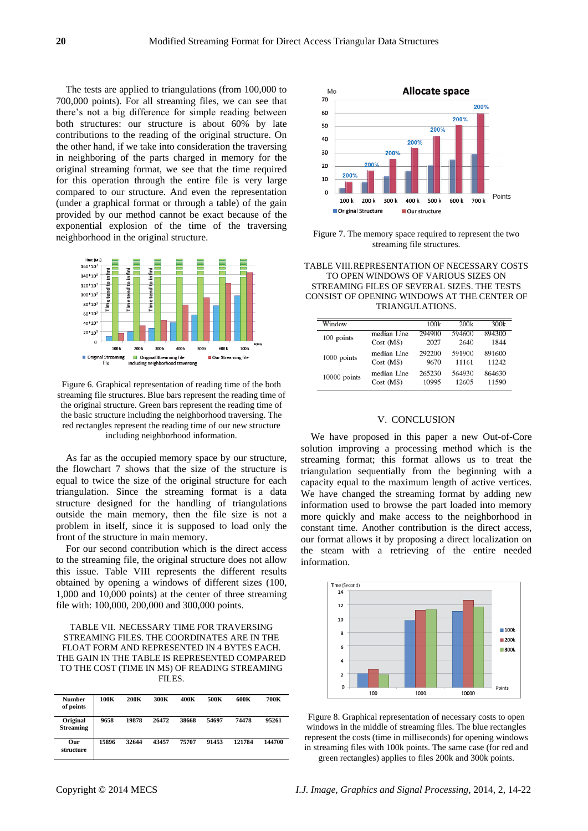The tests are applied to triangulations (from 100,000 to 700,000 points). For all streaming files, we can see that there's not a big difference for simple reading between both structures: our structure is about 60% by late contributions to the reading of the original structure. On the other hand, if we take into consideration the traversing in neighboring of the parts charged in memory for the original streaming format, we see that the time required for this operation through the entire file is very large compared to our structure. And even the representation (under a graphical format or through a table) of the gain provided by our method cannot be exact because of the exponential explosion of the time of the traversing neighborhood in the original structure.



Figure 6. Graphical representation of reading time of the both streaming file structures. Blue bars represent the reading time of the original structure. Green bars represent the reading time of the basic structure including the neighborhood traversing. The red rectangles represent the reading time of our new structure including neighborhood information.

As far as the occupied memory space by our structure, the flowchart 7 shows that the size of the structure is equal to twice the size of the original structure for each triangulation. Since the streaming format is a data structure designed for the handling of triangulations outside the main memory, then the file size is not a problem in itself, since it is supposed to load only the front of the structure in main memory.

For our second contribution which is the direct access to the streaming file, the original structure does not allow this issue. Table VIII represents the different results obtained by opening a windows of different sizes (100, 1,000 and 10,000 points) at the center of three streaming file with: 100,000, 200,000 and 300,000 points.

#### TABLE VII. NECESSARY TIME FOR TRAVERSING STREAMING FILES. THE COORDINATES ARE IN THE FLOAT FORM AND REPRESENTED IN 4 BYTES EACH. THE GAIN IN THE TABLE IS REPRESENTED COMPARED TO THE COST (TIME IN MS) OF READING STREAMING FILES.

| <b>Number</b><br>of points   | 100K  | 200K  | 300K  | 400K  | 500K  | 600K   | 700K   |
|------------------------------|-------|-------|-------|-------|-------|--------|--------|
| Original<br><b>Streaming</b> | 9658  | 19878 | 26472 | 38668 | 54697 | 74478  | 95261  |
| Our<br>structure             | 15896 | 32644 | 43457 | 75707 | 91453 | 121784 | 144700 |



Figure 7. The memory space required to represent the two streaming file structures.

| TABLE VIII.REPRESENTATION OF NECESSARY COSTS |
|----------------------------------------------|
| TO OPEN WINDOWS OF VARIOUS SIZES ON          |
| STREAMING FILES OF SEVERAL SIZES. THE TESTS  |
| CONSIST OF OPENING WINDOWS AT THE CENTER OF  |
| TRIANGULATIONS.                              |

| Window       |             | 100k   | 200k   | 300k   |
|--------------|-------------|--------|--------|--------|
| 100 points   | median Line | 294900 | 594600 | 894300 |
|              | Cost(MS)    | 2027   | 2640   | 1844   |
| 1000 points  | median Line | 292200 | 591900 | 891600 |
|              | Cost(MS)    | 9670   | 11161  | 11242  |
| 10000 points | median Line | 265230 | 564930 | 864630 |
|              | Cost(MS)    | 10995  | 12605  | 11590  |

#### V. CONCLUSION

We have proposed in this paper a new Out-of-Core solution improving a processing method which is the streaming format; this format allows us to treat the triangulation sequentially from the beginning with a capacity equal to the maximum length of active vertices. We have changed the streaming format by adding new information used to browse the part loaded into memory more quickly and make access to the neighborhood in constant time. Another contribution is the direct access, our format allows it by proposing a direct localization on the steam with a retrieving of the entire needed information.



Figure 8. Graphical representation of necessary costs to open windows in the middle of streaming files. The blue rectangles represent the costs (time in milliseconds) for opening windows in streaming files with 100k points. The same case (for red and green rectangles) applies to files 200k and 300k points.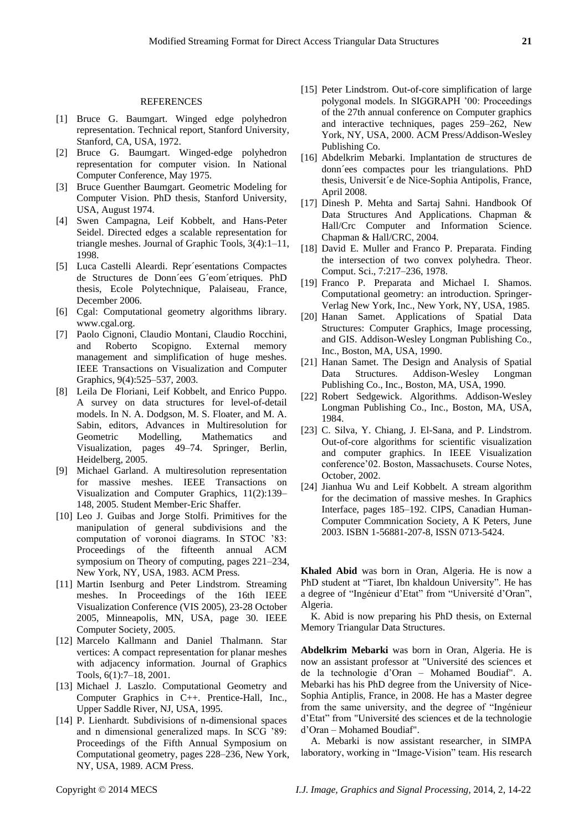#### REFERENCES

- [1] Bruce G. Baumgart. Winged edge polyhedron representation. Technical report, Stanford University, Stanford, CA, USA, 1972.
- [2] Bruce G. Baumgart. Winged-edge polyhedron representation for computer vision. In National Computer Conference, May 1975.
- [3] Bruce Guenther Baumgart. Geometric Modeling for Computer Vision. PhD thesis, Stanford University, USA, August 1974.
- [4] Swen Campagna, Leif Kobbelt, and Hans-Peter Seidel. Directed edges a scalable representation for triangle meshes. Journal of Graphic Tools, 3(4):1–11, 1998.
- [5] Luca Castelli Aleardi. Repr ésentations Compactes de Structures de Donn´ees G´eom´etriques. PhD thesis, Ecole Polytechnique, Palaiseau, France, December 2006.
- [6] Cgal: Computational geometry algorithms library. www.cgal.org.
- [7] Paolo Cignoni, Claudio Montani, Claudio Rocchini, and Roberto Scopigno. External memory management and simplification of huge meshes. IEEE Transactions on Visualization and Computer Graphics, 9(4):525–537, 2003.
- [8] Leila De Floriani, Leif Kobbelt, and Enrico Puppo. A survey on data structures for level-of-detail models. In N. A. Dodgson, M. S. Floater, and M. A. Sabin, editors, Advances in Multiresolution for Geometric Modelling, Mathematics and Visualization, pages 49–74. Springer, Berlin, Heidelberg, 2005.
- [9] Michael Garland. A multiresolution representation for massive meshes. IEEE Transactions on Visualization and Computer Graphics, 11(2):139– 148, 2005. Student Member-Eric Shaffer.
- [10] Leo J. Guibas and Jorge Stolfi. Primitives for the manipulation of general subdivisions and the computation of voronoi diagrams. In STOC '83: Proceedings of the fifteenth annual ACM symposium on Theory of computing, pages 221–234, New York, NY, USA, 1983. ACM Press.
- [11] Martin Isenburg and Peter Lindstrom. Streaming meshes. In Proceedings of the 16th IEEE Visualization Conference (VIS 2005), 23-28 October 2005, Minneapolis, MN, USA, page 30. IEEE Computer Society, 2005.
- [12] Marcelo Kallmann and Daniel Thalmann. Star vertices: A compact representation for planar meshes with adjacency information. Journal of Graphics Tools, 6(1):7–18, 2001.
- [13] Michael J. Laszlo. Computational Geometry and Computer Graphics in C++. Prentice-Hall, Inc., Upper Saddle River, NJ, USA, 1995.
- [14] P. Lienhardt. Subdivisions of n-dimensional spaces and n dimensional generalized maps. In SCG '89: Proceedings of the Fifth Annual Symposium on Computational geometry, pages 228–236, New York, NY, USA, 1989. ACM Press.
- [15] Peter Lindstrom. Out-of-core simplification of large polygonal models. In SIGGRAPH '00: Proceedings of the 27th annual conference on Computer graphics and interactive techniques, pages 259–262, New York, NY, USA, 2000. ACM Press/Addison-Wesley Publishing Co.
- [16] Abdelkrim Mebarki. Implantation de structures de donn´ees compactes pour les triangulations. PhD thesis, Universit é de Nice-Sophia Antipolis, France, April 2008.
- [17] Dinesh P. Mehta and Sartaj Sahni. Handbook Of Data Structures And Applications. Chapman & Hall/Crc Computer and Information Science. Chapman & Hall/CRC, 2004.
- [18] David E. Muller and Franco P. Preparata. Finding the intersection of two convex polyhedra. Theor. Comput. Sci., 7:217–236, 1978.
- [19] Franco P. Preparata and Michael I. Shamos. Computational geometry: an introduction. Springer-Verlag New York, Inc., New York, NY, USA, 1985.
- [20] Hanan Samet. Applications of Spatial Data Structures: Computer Graphics, Image processing, and GIS. Addison-Wesley Longman Publishing Co., Inc., Boston, MA, USA, 1990.
- [21] Hanan Samet. The Design and Analysis of Spatial Data Structures. Addison-Wesley Longman Publishing Co., Inc., Boston, MA, USA, 1990.
- [22] Robert Sedgewick. Algorithms. Addison-Wesley Longman Publishing Co., Inc., Boston, MA, USA, 1984.
- [23] C. Silva, Y. Chiang, J. El-Sana, and P. Lindstrom. Out-of-core algorithms for scientific visualization and computer graphics. In IEEE Visualization conference'02. Boston, Massachusets. Course Notes, October, 2002.
- [24] Jianhua Wu and Leif Kobbelt. A stream algorithm for the decimation of massive meshes. In Graphics Interface, pages 185–192. CIPS, Canadian Human-Computer Commnication Society, A K Peters, June 2003. ISBN 1-56881-207-8, ISSN 0713-5424.

**Khaled Abid** was born in Oran, Algeria. He is now a PhD student at "Tiaret, Ibn khaldoun University". He has a degree of "Ingénieur d'Etat" from "Université d'Oran", Algeria.

K. Abid is now preparing his PhD thesis, on External Memory Triangular Data Structures.

**Abdelkrim Mebarki** was born in Oran, Algeria. He is now an assistant professor at "Université des sciences et de la technologie d'Oran – Mohamed Boudiaf". A. Mebarki has his PhD degree from the University of Nice-Sophia Antiplis, France, in 2008. He has a Master degree from the same university, and the degree of "Ingénieur d'Etat" from "Université des sciences et de la technologie d'Oran – Mohamed Boudiaf".

A. Mebarki is now assistant researcher, in SIMPA laboratory, working in "Image-Vision" team. His research